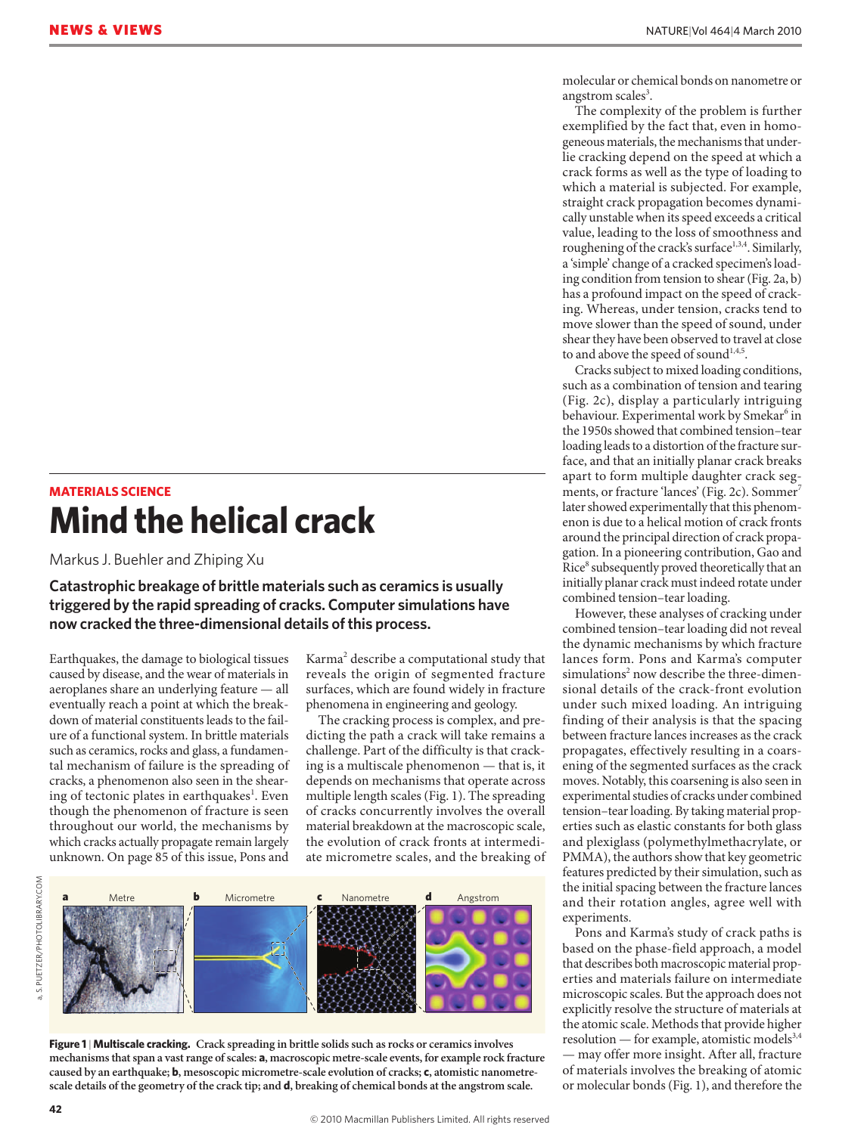## **MATERIALS SCIENCE Mind the helical crack**

Markus J. Buehler and Zhiping Xu

**Catastrophic breakage of brittle materials such as ceramics is usually triggered by the rapid spreading of cracks. Computer simulations have now cracked the three-dimensional details of this process.**

Earthquakes, the damage to biological tissues caused by disease, and the wear of materials in aeroplanes share an underlying feature — all eventually reach a point at which the breakdown of material constituents leads to the failure of a functional system. In brittle materials such as ceramics, rocks and glass, a fundamental mechanism of failure is the spreading of cracks, a phenomenon also seen in the shearing of tectonic plates in earthquakes<sup>1</sup>. Even though the phenomenon of fracture is seen throughout our world, the mechanisms by which cracks actually propagate remain largely unknown. On page 85 of this issue, Pons and

Karma<sup>2</sup> describe a computational study that reveals the origin of segmented fracture surfaces, which are found widely in fracture phenomena in engineering and geology.

The cracking process is complex, and predicting the path a crack will take remains a challenge. Part of the difficulty is that cracking is a multiscale phenomenon — that is, it depends on mechanisms that operate across multiple length scales (Fig. 1). The spreading of cracks concurrently involves the overall material breakdown at the macroscopic scale, the evolution of crack fronts at intermediate micrometre scales, and the breaking of





molecular or chemical bonds on nanometre or angstrom scales<sup>3</sup>.

The complexity of the problem is further exemplified by the fact that, even in homogeneous materials, the mechanisms that underlie cracking depend on the speed at which a crack forms as well as the type of loading to which a material is subjected. For example, straight crack propagation becomes dynamically unstable when its speed exceeds a critical value, leading to the loss of smoothness and roughening of the crack's surface<sup>1,3,4</sup>. Similarly, a 'simple' change of a cracked specimen's loading condition from tension to shear (Fig. 2a, b) has a profound impact on the speed of cracking. Whereas, under tension, cracks tend to move slower than the speed of sound, under shear they have been observed to travel at close to and above the speed of sound $^{1,4,5}$ .

Cracks subject to mixed loading conditions, such as a combination of tension and tearing (Fig. 2c), display a particularly intriguing behaviour. Experimental work by Smekar<sup>6</sup> in the 1950s showed that combined tension–tear loading leads to a distortion of the fracture surface, and that an initially planar crack breaks apart to form multiple daughter crack segments, or fracture 'lances' (Fig. 2c). Sommer<sup>7</sup> later showed experimentally that this phenomenon is due to a helical motion of crack fronts around the principal direction of crack propagation. In a pioneering contribution, Gao and Rice<sup>8</sup> subsequently proved theoretically that an initially planar crack must indeed rotate under combined tension–tear loading.

However, these analyses of cracking under combined tension–tear loading did not reveal the dynamic mechanisms by which fracture lances form. Pons and Karma's computer simulations<sup>2</sup> now describe the three-dimensional details of the crack-front evolution under such mixed loading. An intriguing finding of their analysis is that the spacing between fracture lances increases as the crack propagates, effectively resulting in a coarsening of the segmented surfaces as the crack moves. Notably, this coarsening is also seen in experimental studies of cracks under combined tension–tear loading. By taking material properties such as elastic constants for both glass and plexiglass (polymethylmethacrylate, or PMMA), the authors show that key geometric features predicted by their simulation, such as the initial spacing between the fracture lances and their rotation angles, agree well with experiments.

Pons and Karma's study of crack paths is based on the phase-field approach, a model that describes both macroscopic material properties and materials failure on intermediate microscopic scales. But the approach does not explicitly resolve the structure of materials at the atomic scale. Methods that provide higher resolution — for example, atomistic models $3,4$ — may offer more insight. After all, fracture of materials involves the breaking of atomic or molecular bonds (Fig. 1), and therefore the